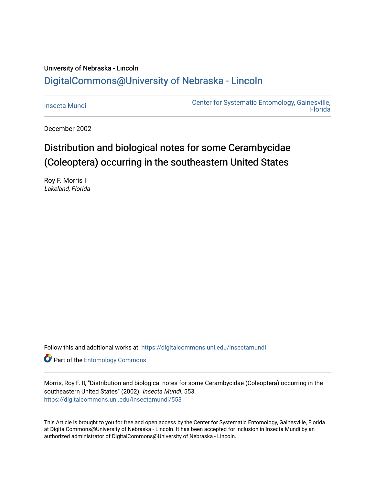## University of Nebraska - Lincoln [DigitalCommons@University of Nebraska - Lincoln](https://digitalcommons.unl.edu/)

[Insecta Mundi](https://digitalcommons.unl.edu/insectamundi) [Center for Systematic Entomology, Gainesville,](https://digitalcommons.unl.edu/centersystematicentomology)  **Florida** 

December 2002

# Distribution and biological notes for some Cerambycidae (Coleoptera) occurring in the southeastern United States

Roy F. Morris II Lakeland, Florida

Follow this and additional works at: [https://digitalcommons.unl.edu/insectamundi](https://digitalcommons.unl.edu/insectamundi?utm_source=digitalcommons.unl.edu%2Finsectamundi%2F553&utm_medium=PDF&utm_campaign=PDFCoverPages) 

**Part of the Entomology Commons** 

Morris, Roy F. II, "Distribution and biological notes for some Cerambycidae (Coleoptera) occurring in the southeastern United States" (2002). Insecta Mundi. 553. [https://digitalcommons.unl.edu/insectamundi/553](https://digitalcommons.unl.edu/insectamundi/553?utm_source=digitalcommons.unl.edu%2Finsectamundi%2F553&utm_medium=PDF&utm_campaign=PDFCoverPages) 

This Article is brought to you for free and open access by the Center for Systematic Entomology, Gainesville, Florida at DigitalCommons@University of Nebraska - Lincoln. It has been accepted for inclusion in Insecta Mundi by an authorized administrator of DigitalCommons@University of Nebraska - Lincoln.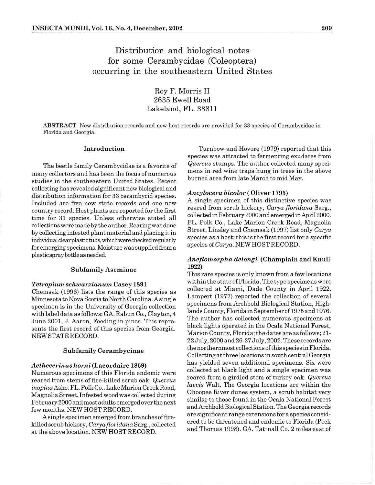### Distribution and biological notes for some Cerambycidae (Coleoptera) occurring in the southeastern United States

Roy F. Morris I1 2635 Ewe11 Road Lakeland, FL. 33811

ABSTRACT. New distribution records and new host records are provided for **33** species of Cerambycidae in Florida and Georgia.

many collectors and has been the focus of numerous mens in red wine traps hung in trees in the contract of the second mens of hung area from late March to mid May. studies in the southeastern United States. Recent collecting has revealed significant new biological and distribution information for 33 cerambycid species. Included are five new state records and one new country record. Host plants are reported for the first time for 31 species. Unless otherwise stated all collections were made by the author. Rearing was done by collecting infested plant material and placing it in individualclear plastic tubs, which were checkedregularly for emerging specimens. Moisture was suppliedfrom a plastic spray bottle as needed.

#### **Subfamily Aseminae**

#### *Tetropium schwarzianum* Casey 1891

Chemsak (1996) lists the range of this species as Minnesota to Nova Scotia to North Carolina. Asingle specimen is in the University of Georgia collection with labeldata as follows: GA. Rabun Co., Clayton, 4 June 2001, J. Aaron, Feeding in pines. This represents the first record of this species from Georgia. NEW STATE RECORD.

#### **Subfamily Cerambycinae**

#### *Aethecerinus horni* **(Lacordaire 1869)**

Numerous specimens of this Florida endemic were reared from stems of fire-killed scrub oak, *Quercus inopina* Ashe. FL. Polk Co., LakeMarion CreekRoad, Magnolia Street. Infested wood was collected during February 2000 and most adults emerged over the next few months. NEW HOST RECORD.

Asingle specimen emergedfrom branches offirekilled scrub hickory, *Caryafloridana* Sarg., collected at the above location. NEW HOST RECORD.

**Introduction Turnbow and Hovore (1979) reported that this** species was attracted to fermenting exudates from The beetle family Cerambycidae is a favorite of *Quercus* stumps. The author collected many speci-<br>mens in red wine traps hung in trees in the above

#### *Ancylocera bicolor* ( **Oliver 1795)**

A single specimen of this distinctive species was reared from scrub hickory, *Carya floridana* Sarg., collected in February 2000 and emergedin April 2000. FL. Polk Co., Lake Marion Creek Road, Magnolia Street. Linsley and Chemsalr (1997) list only *Carya*  species as a host; this is the first record for a specific species of *Carya.* NEW HOST RECORD.

### *Aneflomorpha delongi* **(Champlain and Knull 1922)**

This rare species is only known from a few locations within the state of Florida. The type specimens were collected at Miami, Dade County in April 1922. Lampert (1977) reported the collection of several specimens from Archbold Biological Station, Highlands County, Floridain September of 1975 and 1976. The author has collected numerous specimens at black lights operated in the Ocala National Forest, Marion County, Florida; the dates are as follows; 21- 22 July, 2000 and26-27 July, 2002. These records are the northernmost collections of this species in Florida. Collecting at three locations in south central Georgia has yielded seven additional specimens. Six were collected at black light and a single specimen was reared from a girdled stem of turkey oak, *Quercus laevis* Walt. The Georgia locations are within the Ohoopee River dunes system, a scrub habitat very similar to those found in the Ocala National Forest and Archbold Biological Station. The Georgia records are significant range extensions for a species considered to be threatened and endemic to Florida (Peck and Thomas 1998). GA. Tattnall Co. 2 miles east of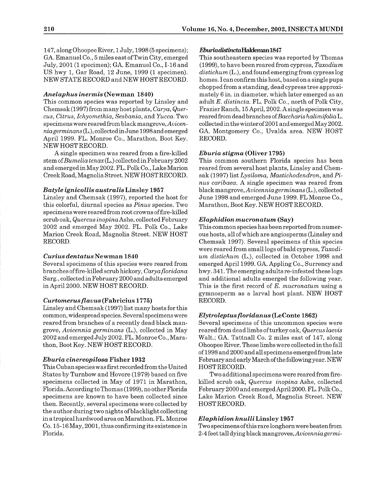147, along OhoopeeRiver, 1 July, 1998 (5 specimens); GA. Emanuel Co., 5 miles east of Twin City, emerged July, 2001 (1 specimen); GA. Emanuel Co., 1-16 and US hwy 1, Gar Road, 12 June, 1999 (1 specimen). NEW STATE RECORD and NEW HOST RECORD.

#### *Anelaphus inermis* **(Newman 1840)**

This common species was reported by Linsley and Chemsak (1997) from many host plants, Carya, Quercus, Citrus, Ichyomethia, Sesbania, and Yucca. Two specimens were reared from black mangrove, Avicenniagerminans (L.), collected in June 1998 and emerged April 1999. FL. Monroe Co., Marathon, Boot Key. NEW HOSTRECORD.

A single specimen was reared from a fire-killed stem of  $Bumelia tenax(L.)$  collected in February 2002 and emergedinMay 2002. FL. Polk Co., LakeMarion CreekRoad, Magnolia Street. NEW HOSTRECORD.

#### *Batyle gnicollis australis* **Linsley 1957**

Linsley and Chemsak (1997), reported the host for this colorful, diurnal species as Pinus species. Two specimens were reared from root crowns offire-killed scrub oak, Quercus inopina Ashe, collected February 2002 and emerged May 2002. FL. Polk Co., Lake Marion Creek Road, Magnolia Street. NEW HOST RECORD.

#### *Curius dentatus* **Newman 1840**

Several specimens of this species were reared from branches offire-killed scrub hickory, Caryafloridana Sarg., collectedin February 2000 and adults emerged in April 2000. NEW HOST RECORD.

#### *Curtomerusflavus* **(Fabricius 1775)**

Linsley and Chemsak (1997) list many hosts for this common, widespread species. Several specimens were reared from branches of a recently dead black mangrove, Avicennia germinans  $(L)$ , collected in May 2002 and emerged July 2002. FL. Monroe Co., Marathon, Boot Key. NEW HOST RECORD.

#### *Eburia cinereopilosa* **Fisher 1932**

This Cuban species was first recorded from the United States by Turnbow and Hovore (1979) based on five specimens collected in May of 1971 in Marathon, Florida. According to Thomas (1999), no other Florida specimens are known to have been collected since then. Recently, several specimens were collected by the author during two nights of blacklight collecting in a tropicalhardwood area onMarathon. FL. Monroe Co. 15-16 May, 2001, thus confirming its existence in Florida.

#### **EburiuclisttnctaHaldeman1847**

This southeastern species was reported by Thomas (1999), to have been reared from cypress,  $Taxodium$  $distichum(L.)$ , and found emerging from cypress  $log$ homes. I can confirm this host, based on a single pupa chopped from a standing, dead cypress tree approximately 6 in. in diameter, which later emerged as an adult E. distincta. FL. Polk Co., north of Polk City, Frazier Ranch, 15 April, 2002. A single specimen was reared from dead branches of Baccharis halimifolia L. collectedin the winter of 2001 and emergedMay 2002. GA. Montgomery Co., Uvalda area. NEW HOST RECORD.

#### *Eburia stigma* **(Oliver 1795)**

This common southern Florida species has been reared from several host plants, Linsley and Chemsak (1997) list Lysiloma, Mastichodendron, and Pinus caribaea. A single specimen was reared from black mangrove, Avicenniagerminans (L.), collected June 1998 and emerged June 1999. FL Monroe Co., Marathon, Boot Key. NEW HOSTRECORD.

#### *Elaphidion mucronatum* **(Say)**

This common species has been reported from numerous hosts, all of which are angiosperms (Linsley and Chemsak 1997). Several specimens of this species were reared from small logs of bald cypress, Taxodium distichum (L.), collected in October 1998 and emergedApril1999. GA. Appling Co., Surrency and hwy. 341. The emerging adults re-infested these logs and additional adults emerged the following year. This is the first record of  $E$ . mucronatum using a gymnosperm as a larval host plant. NEW HOST RECORD.

#### *Elytroleptusfloridanus* **(LeConte 1862)**

Several specimens of this uncommon species were reared from dead limbs of turkey oak, Quercus laevis Walt.; GA. Tattnall Co. 2 miles east of 147, along Ohoopee River. These limbs were collected in the fall of 1998 and 2000 and all specimens emerged from late February and early March of the following year. NEW HOST RECORD.

Two additional specimens were reared from firekilled scrub oak, Quercus inopina Ashe, collected February 2000 and emergedApri12000. FL. Polk Co., Lake Marion Creek Road, Magnolia Street. NEW HOST RECORD.

#### *Elaphidion knulli* **Linsley 1957**

Two specimens of this rare longhorn were beaten from 2-4 feet tall dying black mangroves, Avicenniagermi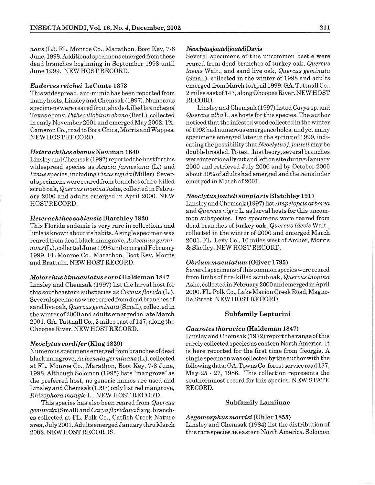nans (L.). FL. Monroe Co., Marathon, Boot Key, 7-8 June, 1998. Additionalspecimens emergedfrom these dead branches beginning in September 1998 until June 1999. NEW HOST RECORD.

#### *Euderces reichei* **LeConte 1873**

This widespread, ant-mimic has been reported from many hosts, Linsley and Chemsak (1997). Numerous specimens were reared from shade-killed branches of Texas ebony, Pithecellobium ebano (Berl.), collected in early November 2001 and emergedMay 2002. TX. Cameron Co., road to Boca Chica, Morris and Wappes. NEW HOSTRECORD.

#### *Heterachthes ebenus* **Newman 1840**

Linsley and Chemsak (1997) reported the host for this widespread species as Acacia farnesiana (L.) and  $Pinus$  species, including  $Pinus$  rigida (Miller). Several specimens were reared from branches of fire-killed scrub oak, Quercus inopina Ashe, collected in February 2000 and adults emerged in April 2000. NEW HOSTRECORD.

#### *Heterachthes sablensis* **Blatchle** *y* **1920**

This Florida endemic is very rare in collections and little is known about its habits. Asingle specimen was reared from dead black mangrove, Auicenniagerminans (L.), collected June 1998 andemerged February 1999. FL Monroe Co., Marathon, Boot Key, Morris and Brattain. NEW HOST RECORD.

#### *Molorchus bimaculatus corni* **Haldeman 1847**

Linsley and Chemsak (1997) list the larval host for this southeastern subspecies as  $Conrus$  florida (L.). Several specimens were reared from dead branches of sand live oak, Quercus geminata (Small), collected in the winter of 2000 and adults emergedin late March 2001. GA. Tattnall Co., 2 miles east of 147, along the Ohoopee River. NEW HOST RECORD.

#### *Neoclytus cordifer* **(Klug 1829)**

Numerous specimens emerged from branches of dead black mangrove, Avicenniagerminans (L.), collected at FL. Monroe Co., Marathon, Boot Key, 7-8 June, 1998. Although Solomon (1995) lists "mangrove" as the preferred host, no generic names are used and Linsley and Chemsak (1997) only list red mangrove, Rhizophora mangle L.. NEW HOST RECORD.

This species has also been reared from Quercus  $geminata$  (Small) and Carya floridana Sarg. branches collected at FL. Polk Co., Catfish Creek Nature area, July 2001. Adults emerged January thru March 2002. NEW HOST RECORDS.

#### $N$ *eoclytusjouteli iouteli* Davis

Several specimens of this uncommon beetle were reared from dead branches of turkey oak, Quercus laevis Walt., and sand live oak, Quercus geminata (Small), collected in the winter of 1998 and adults emerged from March to April 1999. GA. Tattnall Co., 2 miles east of 147, along Ohoopee River. NEW HOST RECORD.

Linsley and Chemsak (1997) listed Caryasp. and Quercus alba L. as hosts for this species. The author noticed that the infested woodcollectedin the winter of 1998 had numerous emergence holes, and yet many specimens emerged later in the spring of 1999, indicating the possibility that Neoclytus j. jouteli may be double brooded. To test this theory, severalbranches were intentionally cut and left on site during January 2000 and retrieved July 2000 and by October 2000 about 30% of adults had emerged and the remainder emerged in March of 2001.

#### *Neoclytusjouteli simplaris* **Blatchley 1917**

Linsley and Chemsak (1997) 1istAmpelopsis arborea and Quercus nigra L. as larval hosts for this uncommon subspecies. Two specimens were reared from dead branches of turkey oak, Quercus laevis Walt., collected in the winter of 2000 and emerged March 2001. FL. Levy Co., 10 miles west of Archer, Morris & Skelley. NEW HOST RECORD.

#### *Obrium maculatum* **(Oliver 1795)**

Several specimens of this common species were reared from limbs of fire-killed scrub oak, Quercus inopina Ashe, collectedin February 2000 and emerged in April 2000. FL. Polk Co., Lake Marion CreekRoad, Magnolia Street. NEW HOST RECORD

#### **Subfamily Lepturini**

#### *Gaurotes thoracica* **(Haldeman 1847)**

Linsley and Chemsak (1972) report the range of this rarely collected species as eastern North America. It is here reported for the first time from Georgia. A single specimen was collected by the author with the following data: GA. Towns Co. forest service road 137, May 25 - 27, 1986. This collection represents the southernmost record for this species. NEW STATE RECORD.

#### **Subfamily Lamiinae**

#### *Aegomorphus morrisi* **(Uhler 1855)**

Linsley and Chemsak (1984) list the distribution of this rare species as eastern North America. Solomon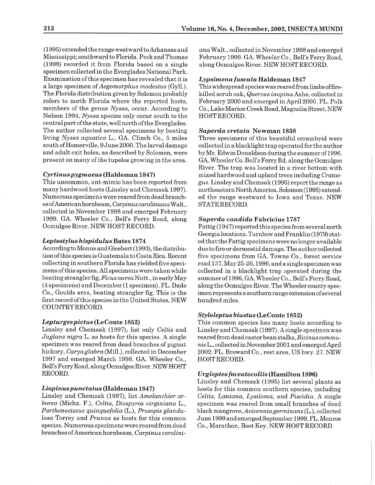(1995) extended the range westward to Arkansas and Mississippi; southward to Florida. Peck and Thomas (1998) recorded it from Florida based on a single specimen collected in the Everglades National Park. Examination of this specimen has revealed that it is a large specimen of Aegomorphus modestus (Gyll.). The Florida distribution given by Solomon probably refers to north Florida where the reported hosts, members of the genus Nyssa, occur. According to Nelson 1994, Nyssa species only occur south to the central part of the state, well north of the Everglades. The author collected several specimens by beating living Nyssa aquatica L., GA. Clinch Co., 5 miles south of Homerville, 9 June 2000. The larval damage and adult exit holes, as described by Solomon, were present on many of the tupelos growing in the area.

#### *Cyrtinuspygmaeus* **(Haldeman 1847)**

This uncommon, ant-mimic has been reported from many hardwood hosts (Linsley and Chemsak 1997). Numerous specimens were reared from dead branches ofAmerican hornbeam, Carpinus caroliniana Walt., collected in November 1998 and emerged February 1999. GA. Wheeler Co., Bell's Ferry Road, along Ocmulgee River. NEW HOST RECORD.

#### *Leptostylus hispidulus* **Bates 1874**

According to Monne and Giesbert (1993), the distribution of this species is Guatemala to Costa Rica. Recent collecting in southern Florida has yielded five specimens of this species. All specimens were taken while beating strangler fig, Ficus aurea Nutt., in early May (4 specimens) and December (1 specimen). FL. Dade Co., Goulds area, beating strangler fig. This is the first recordof this species in the United States. NEW COUNTRY RECORD.

#### *Lepturgespictus* **(LeConte 1852)**

Linsley and Chemsak (1997), list only Celtis and Juglans nigra L. as hosts for this species. A single specimen was reared from dead branches of pignut hickory, Caryaglabra (Mill.), collected in December 1997 and emerged March 1998. GA. Wheeler Co., Bell's Ferry Road, along Ocmulgee River. NEW HOST RECORD.

#### *Liopinuspunctatus* **(Haldeman 1847)**

Linsley and Chemsak (1997), list Amelanchier arborea (Michx. F.), Celtis, Diospyros virginiana L., Parthenocissus quinquefolia (L.), Prosopis glandulosa Torrey and Prunus as hosts for this common species. Numerous specimens were reared from dead branches of American hornbeam, Carpinus caroliniana Walt., collected in November 1998 and emerged February 1999. GA. Wheeler Co., Bell's Ferry Road, along Ocmulgee River. NEW HOST RECORD.

#### *Lypsimena fuscata* **Haldeman 1847**

This widespread species was reared from limbs offirekilled scrub oak, Quercus inopina Ashe, collected in February 2000 and emerged in April 2000. FL. Pollr Co., LakeMarion CreekRoad, Magnolia Street. NEW HOSTRECORD.

#### *Saperda cretata* **Newman 1838**

Three specimens of this beautiful cerambyid were collected in a blacklight trap operated for the author by Mr. Edwin Donaldson during the summer of 1996. GA. Wheeler Co. Bell's Ferry Rd. along the Ocmulgee River. The trap was located in a river bottom with mixed hardwood and upland trees including Crataegus. Linsley and Chemsak (1995) report the range as northeastern North America. Solomon (1995) extended the range westward to Iowa and Texas. NEW STATERECORD.

#### *Saperda candida* **Fabricius 1787**

Fattig (1947) reported this species from several north Georgia locations. Turnbow and Franklin (1979) stated that the Fattig specimens were no longer available due to fire or dermestid damage. The author collected five specimens from GA. Towns Co., forest service road 137, May 25-26,1986; anda single specimen was collected in a blacklight trap operated during the summer of 1996, GA. Wheeler Co., Bell's Ferry Road, along the Ocmulgee River. The Wheeler county specimen represents a southern range extension of several hundred miles.

#### *Styloleptus biustus* **(LeConte 1852)**

This common species has many hosts according to Linsley and Chemsak (1997). Asingle specimen was reared from dead castor bean stalks, Ricinus communis L., collected in November 2001 and emerged April 2002. FL. Broward Co., rest area, US hwy. 27. NEW HOSTRECORD.

#### *Urgleptes foueatocollis* **(Hamilton 1896)**

Linsley and Chemsak (1995) list several plants as hosts for this common southern species, including Celtis, Lantana, Lysiloma, and Piscidia. A single specimen was reared from small branches of dead black mangrove, Avicenniagerminans (L.), collected June 1999 and emerged September 1999. FL. Monroe Co., Marathon, Boot Key. NEW HOST RECORD.